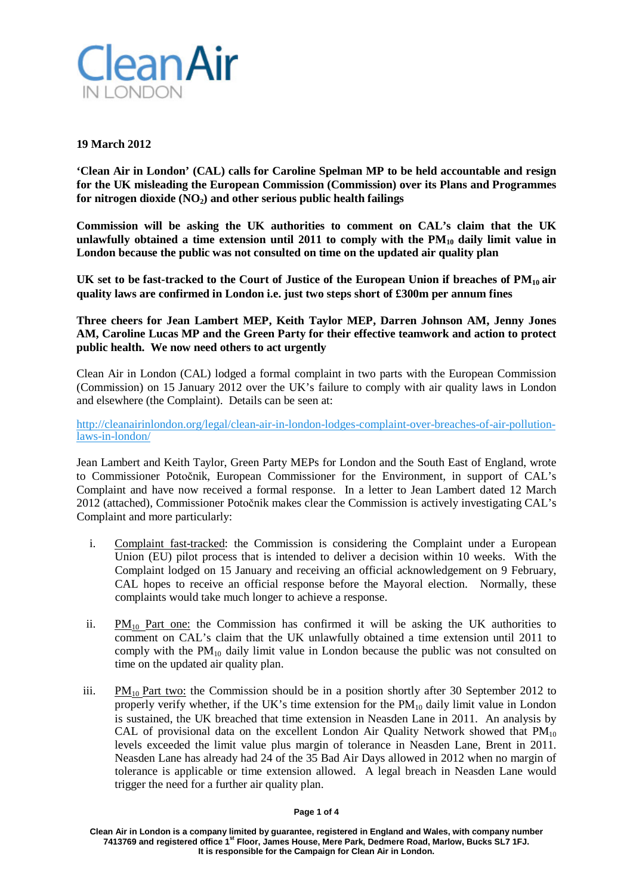

## **19 March 2012**

**'Clean Air in London' (CAL) calls for Caroline Spelman MP to be held accountable and resign for the UK misleading the European Commission (Commission) over its Plans and Programmes for nitrogen dioxide**  $(NO<sub>2</sub>)$  and other serious public health failings

**Commission will be asking the UK authorities to comment on CAL's claim that the UK unlawfully obtained a time extension until 2011 to comply with the PM10 daily limit value in London because the public was not consulted on time on the updated air quality plan**

**UK set to be fast-tracked to the Court of Justice of the European Union if breaches of PM10 air quality laws are confirmed in London i.e. just two steps short of £300m per annum fines**

**Three cheers for Jean Lambert MEP, Keith Taylor MEP, Darren Johnson AM, Jenny Jones AM, Caroline Lucas MP and the Green Party for their effective teamwork and action to protect public health. We now need others to act urgently**

Clean Air in London (CAL) lodged a formal complaint in two parts with the European Commission (Commission) on 15 January 2012 over the UK's failure to comply with air quality laws in London and elsewhere (the Complaint). Details can be seen at:

[http://cleanairinlondon.org/legal/clean-air-in-london-lodges-complaint-over-breaches-of-air-pollution](http://cleanairinlondon.org/legal/clean-air-in-london-lodges-complaint-over-breaches-of-air-pollution-laws-in-london/)[laws-in-london/](http://cleanairinlondon.org/legal/clean-air-in-london-lodges-complaint-over-breaches-of-air-pollution-laws-in-london/)

Jean Lambert and Keith Taylor, Green Party MEPs for London and the South East of England, wrote to Commissioner Potočnik, European Commissioner for the Environment, in support of CAL's Complaint and have now received a formal response. In a letter to Jean Lambert dated 12 March 2012 (attached), Commissioner Potočnik makes clear the Commission is actively investigating CAL's Complaint and more particularly:

- i. Complaint fast-tracked: the Commission is considering the Complaint under a European Union (EU) pilot process that is intended to deliver a decision within 10 weeks. With the Complaint lodged on 15 January and receiving an official acknowledgement on 9 February, CAL hopes to receive an official response before the Mayoral election. Normally, these complaints would take much longer to achieve a response.
- ii.  $PM_{10}$  Part one: the Commission has confirmed it will be asking the UK authorities to comment on CAL's claim that the UK unlawfully obtained a time extension until 2011 to comply with the  $PM_{10}$  daily limit value in London because the public was not consulted on time on the updated air quality plan.
- iii.  $PM_{10}$  Part two: the Commission should be in a position shortly after 30 September 2012 to properly verify whether, if the UK's time extension for the  $PM_{10}$  daily limit value in London is sustained, the UK breached that time extension in Neasden Lane in 2011. An analysis by CAL of provisional data on the excellent London Air Quality Network showed that  $PM_{10}$ levels exceeded the limit value plus margin of tolerance in Neasden Lane, Brent in 2011. Neasden Lane has already had 24 of the 35 Bad Air Days allowed in 2012 when no margin of tolerance is applicable or time extension allowed. A legal breach in Neasden Lane would trigger the need for a further air quality plan.

**Clean Air in London is a company limited by guarantee, registered in England and Wales, with company number 7413769 and registered office 1st Floor, James House, Mere Park, Dedmere Road, Marlow, Bucks SL7 1FJ. It is responsible for the Campaign for Clean Air in London.**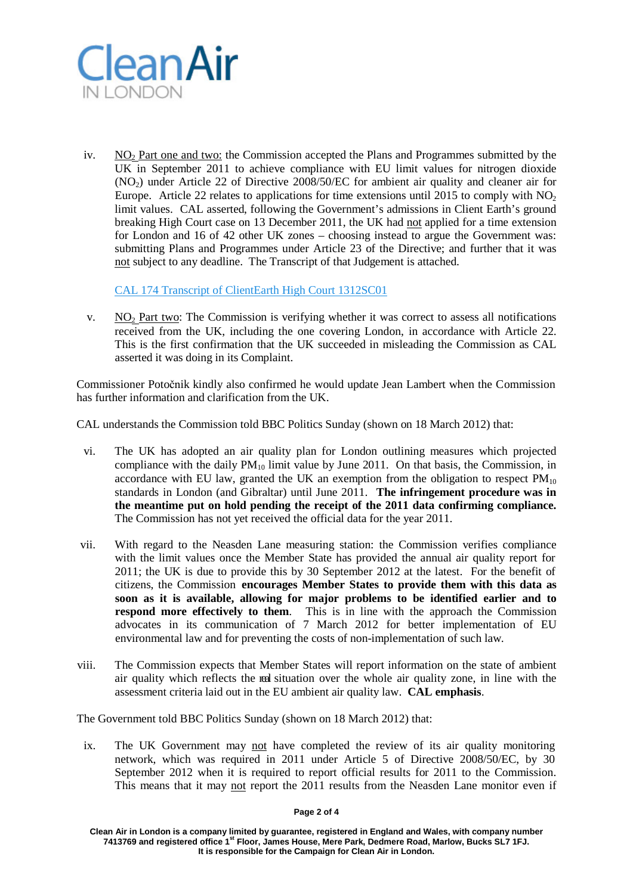

iv.  $NO<sub>2</sub>$  Part one and two: the Commission accepted the Plans and Programmes submitted by the UK in September 2011 to achieve compliance with EU limit values for nitrogen dioxide (NO2) under Article 22 of Directive 2008/50/EC for ambient air quality and cleaner air for Europe. Article 22 relates to applications for time extensions until 2015 to comply with  $NO<sub>2</sub>$ limit values. CAL asserted, following the Government's admissions in Client Earth's ground breaking High Court case on 13 December 2011, the UK had not applied for a time extension for London and 16 of 42 other UK zones – choosing instead to argue the Government was: submitting Plans and Programmes under Article 23 of the Directive; and further that it was not subject to any deadline. The Transcript of that Judgement is attached.

[CAL 174 Transcript of ClientEarth High Court 1312SC01](http://cleanairinlondon.org/hot-topics/call-for-caroline-spelman-mp-to-resign-for-uk-misleading-european-commission/attachment/cal-174-transcript-of-clientearth-high-court-1312sc01/)

v.  $NO<sub>2</sub>$  Part two: The Commission is verifying whether it was correct to assess all notifications received from the UK, including the one covering London, in accordance with Article 22. This is the first confirmation that the UK succeeded in misleading the Commission as CAL asserted it was doing in its Complaint.

Commissioner Potočnik kindly also confirmed he would update Jean Lambert when the Commission has further information and clarification from the UK.

CAL understands the Commission told BBC Politics Sunday (shown on 18 March 2012) that:

- vi. The UK has adopted an air quality plan for London outlining measures which projected compliance with the daily  $PM_{10}$  limit value by June 2011. On that basis, the Commission, in accordance with EU law, granted the UK an exemption from the obligation to respect  $PM_{10}$ standards in London (and Gibraltar) until June 2011. **The infringement procedure was in the meantime put on hold pending the receipt of the 2011 data confirming compliance.**  The Commission has not yet received the official data for the year 2011.
- vii. With regard to the Neasden Lane measuring station: the Commission verifies compliance with the limit values once the Member State has provided the annual air quality report for 2011; the UK is due to provide this by 30 September 2012 at the latest. For the benefit of citizens, the Commission **encourages Member States to provide them with this data as soon as it is available, allowing for major problems to be identified earlier and to respond more effectively to them**. This is in line with the approach the Commission advocates in its communication of 7 March 2012 for better implementation of EU environmental law and for preventing the costs of non-implementation of such law.
- viii. The Commission expects that Member States will report information on the state of ambient air quality which reflects the real situation over the whole air quality zone, in line with the assessment criteria laid out in the EU ambient air quality law. **CAL emphasis**.

The Government told BBC Politics Sunday (shown on 18 March 2012) that:

ix. The UK Government may not have completed the review of its air quality monitoring network, which was required in 2011 under Article 5 of Directive 2008/50/EC, by 30 September 2012 when it is required to report official results for 2011 to the Commission. This means that it may not report the 2011 results from the Neasden Lane monitor even if

**Page 2 of 4**

**Clean Air in London is a company limited by guarantee, registered in England and Wales, with company number 7413769 and registered office 1st Floor, James House, Mere Park, Dedmere Road, Marlow, Bucks SL7 1FJ. It is responsible for the Campaign for Clean Air in London.**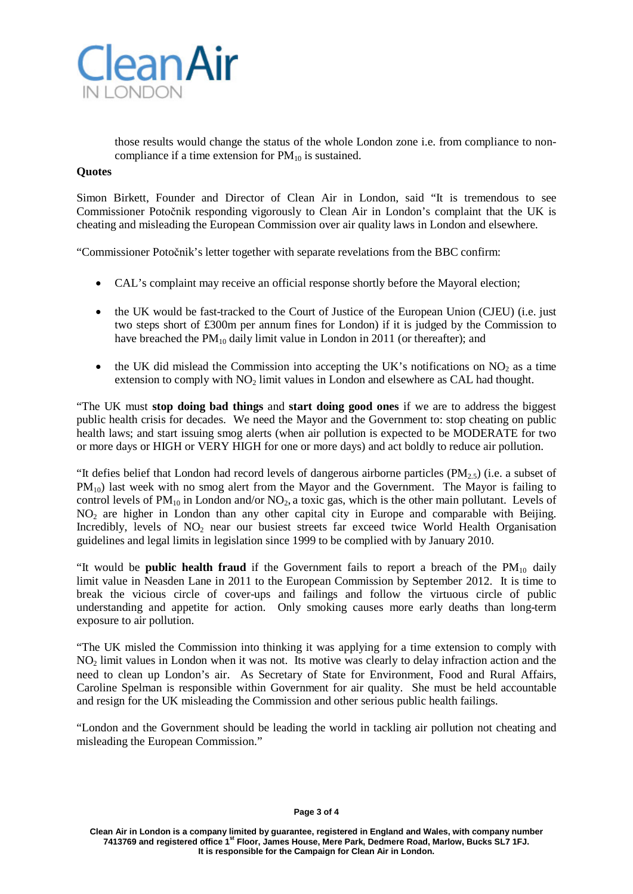

those results would change the status of the whole London zone i.e. from compliance to noncompliance if a time extension for  $PM_{10}$  is sustained.

## **Quotes**

Simon Birkett, Founder and Director of Clean Air in London, said "It is tremendous to see Commissioner Potočnik responding vigorously to Clean Air in London's complaint that the UK is cheating and misleading the European Commission over air quality laws in London and elsewhere.

"Commissioner Potočnik's letter together with separate revelations from the BBC confirm:

- CAL's complaint may receive an official response shortly before the Mayoral election;
- the UK would be fast-tracked to the Court of Justice of the European Union (CJEU) (i.e. just two steps short of £300m per annum fines for London) if it is judged by the Commission to have breached the  $PM_{10}$  daily limit value in London in 2011 (or thereafter); and
- the UK did mislead the Commission into accepting the UK's notifications on  $NO<sub>2</sub>$  as a time extension to comply with  $NO<sub>2</sub>$  limit values in London and elsewhere as CAL had thought.

"The UK must **stop doing bad things** and **start doing good ones** if we are to address the biggest public health crisis for decades. We need the Mayor and the Government to: stop cheating on public health laws; and start issuing smog alerts (when air pollution is expected to be MODERATE for two or more days or HIGH or VERY HIGH for one or more days) and act boldly to reduce air pollution.

"It defies belief that London had record levels of dangerous airborne particles  $(PM_2, 5)$  (i.e. a subset of  $PM_{10}$ ) last week with no smog alert from the Mayor and the Government. The Mayor is failing to control levels of  $PM_{10}$  in London and/or NO<sub>2</sub>, a toxic gas, which is the other main pollutant. Levels of NO<sub>2</sub> are higher in London than any other capital city in Europe and comparable with Beijing. Incredibly, levels of  $NO<sub>2</sub>$  near our busiest streets far exceed twice World Health Organisation guidelines and legal limits in legislation since 1999 to be complied with by January 2010.

"It would be **public health fraud** if the Government fails to report a breach of the  $PM_{10}$  daily limit value in Neasden Lane in 2011 to the European Commission by September 2012. It is time to break the vicious circle of cover-ups and failings and follow the virtuous circle of public understanding and appetite for action. Only smoking causes more early deaths than long-term exposure to air pollution.

"The UK misled the Commission into thinking it was applying for a time extension to comply with NO<sub>2</sub> limit values in London when it was not. Its motive was clearly to delay infraction action and the need to clean up London's air. As Secretary of State for Environment, Food and Rural Affairs, Caroline Spelman is responsible within Government for air quality. She must be held accountable and resign for the UK misleading the Commission and other serious public health failings.

"London and the Government should be leading the world in tackling air pollution not cheating and misleading the European Commission."